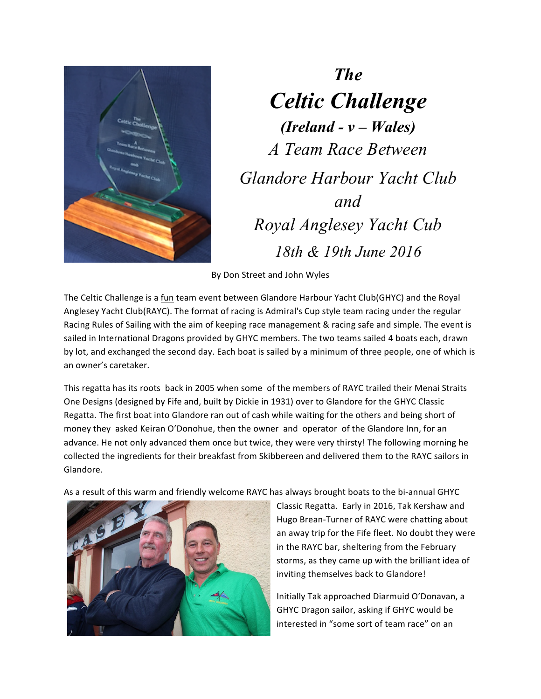

*The Celtic Challenge (Ireland - v – Wales) A Team Race Between Glandore Harbour Yacht Club and Royal Anglesey Yacht Cub 18th & 19th June 2016*

By Don Street and John Wyles

The Celtic Challenge is a fun team event between Glandore Harbour Yacht Club(GHYC) and the Royal Anglesey Yacht Club(RAYC). The format of racing is Admiral's Cup style team racing under the regular Racing Rules of Sailing with the aim of keeping race management & racing safe and simple. The event is sailed in International Dragons provided by GHYC members. The two teams sailed 4 boats each, drawn by lot, and exchanged the second day. Each boat is sailed by a minimum of three people, one of which is an owner's caretaker.

This regatta has its roots back in 2005 when some of the members of RAYC trailed their Menai Straits One Designs (designed by Fife and, built by Dickie in 1931) over to Glandore for the GHYC Classic Regatta. The first boat into Glandore ran out of cash while waiting for the others and being short of money they asked Keiran O'Donohue, then the owner and operator of the Glandore Inn, for an advance. He not only advanced them once but twice, they were very thirsty! The following morning he collected the ingredients for their breakfast from Skibbereen and delivered them to the RAYC sailors in Glandore. 

As a result of this warm and friendly welcome RAYC has always brought boats to the bi-annual GHYC



Classic Regatta. Early in 2016, Tak Kershaw and Hugo Brean-Turner of RAYC were chatting about an away trip for the Fife fleet. No doubt they were in the RAYC bar, sheltering from the February storms, as they came up with the brilliant idea of inviting themselves back to Glandore!

Initially Tak approached Diarmuid O'Donavan, a GHYC Dragon sailor, asking if GHYC would be interested in "some sort of team race" on an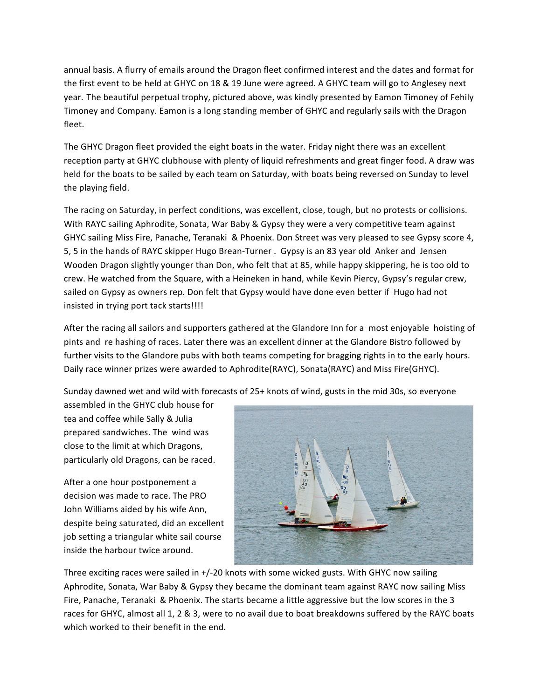annual basis. A flurry of emails around the Dragon fleet confirmed interest and the dates and format for the first event to be held at GHYC on 18 & 19 June were agreed. A GHYC team will go to Anglesey next year. The beautiful perpetual trophy, pictured above, was kindly presented by Eamon Timoney of Fehily Timoney and Company. Eamon is a long standing member of GHYC and regularly sails with the Dragon fleet.

The GHYC Dragon fleet provided the eight boats in the water. Friday night there was an excellent reception party at GHYC clubhouse with plenty of liquid refreshments and great finger food. A draw was held for the boats to be sailed by each team on Saturday, with boats being reversed on Sunday to level the playing field.

The racing on Saturday, in perfect conditions, was excellent, close, tough, but no protests or collisions. With RAYC sailing Aphrodite, Sonata, War Baby & Gypsy they were a very competitive team against GHYC sailing Miss Fire, Panache, Teranaki & Phoenix. Don Street was very pleased to see Gypsy score 4, 5, 5 in the hands of RAYC skipper Hugo Brean-Turner . Gypsy is an 83 year old Anker and Jensen Wooden Dragon slightly younger than Don, who felt that at 85, while happy skippering, he is too old to crew. He watched from the Square, with a Heineken in hand, while Kevin Piercy, Gypsy's regular crew, sailed on Gypsy as owners rep. Don felt that Gypsy would have done even better if Hugo had not insisted in trying port tack starts!!!!

After the racing all sailors and supporters gathered at the Glandore Inn for a most enjoyable hoisting of pints and re hashing of races. Later there was an excellent dinner at the Glandore Bistro followed by further visits to the Glandore pubs with both teams competing for bragging rights in to the early hours. Daily race winner prizes were awarded to Aphrodite(RAYC), Sonata(RAYC) and Miss Fire(GHYC).

Sunday dawned wet and wild with forecasts of 25+ knots of wind, gusts in the mid 30s, so everyone

assembled in the GHYC club house for tea and coffee while Sally & Julia prepared sandwiches. The wind was close to the limit at which Dragons, particularly old Dragons, can be raced.

After a one hour postponement a decision was made to race. The PRO John Williams aided by his wife Ann, despite being saturated, did an excellent job setting a triangular white sail course inside the harbour twice around.



Three exciting races were sailed in  $+/-20$  knots with some wicked gusts. With GHYC now sailing Aphrodite, Sonata, War Baby & Gypsy they became the dominant team against RAYC now sailing Miss Fire, Panache, Teranaki & Phoenix. The starts became a little aggressive but the low scores in the 3 races for GHYC, almost all 1, 2 & 3, were to no avail due to boat breakdowns suffered by the RAYC boats which worked to their benefit in the end.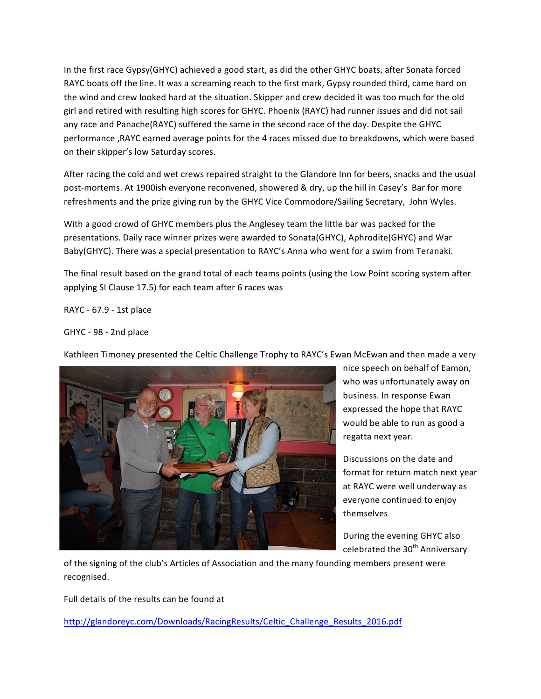In the first race Gypsy(GHYC) achieved a good start, as did the other GHYC boats, after Sonata forced RAYC boats off the line. It was a screaming reach to the first mark, Gypsy rounded third, came hard on the wind and crew looked hard at the situation. Skipper and crew decided it was too much for the old girl and retired with resulting high scores for GHYC. Phoenix (RAYC) had runner issues and did not sail any race and Panache(RAYC) suffered the same in the second race of the day. Despite the GHYC performance , RAYC earned average points for the 4 races missed due to breakdowns, which were based on their skipper's low Saturday scores.

After racing the cold and wet crews repaired straight to the Glandore Inn for beers, snacks and the usual post-mortems. At 1900ish everyone reconvened, showered & dry, up the hill in Casey's Bar for more refreshments and the prize giving run by the GHYC Vice Commodore/Sailing Secretary, John Wyles.

With a good crowd of GHYC members plus the Anglesey team the little bar was packed for the presentations. Daily race winner prizes were awarded to Sonata(GHYC), Aphrodite(GHYC) and War Baby(GHYC). There was a special presentation to RAYC's Anna who went for a swim from Teranaki.

The final result based on the grand total of each teams points (using the Low Point scoring system after applying SI Clause 17.5) for each team after 6 races was

RAYC - 67.9 - 1st place

GHYC - 98 - 2nd place

Kathleen Timoney presented the Celtic Challenge Trophy to RAYC's Ewan McEwan and then made a very



nice speech on behalf of Eamon, who was unfortunately away on business. In response Ewan expressed the hope that RAYC would be able to run as good a regatta next year.

Discussions on the date and format for return match next year at RAYC were well underway as everyone continued to enjoy themselves

During the evening GHYC also celebrated the 30<sup>th</sup> Anniversary

of the signing of the club's Articles of Association and the many founding members present were recognised.

Full details of the results can be found at

http://glandoreyc.com/Downloads/RacingResults/Celtic\_Challenge\_Results\_2016.pdf